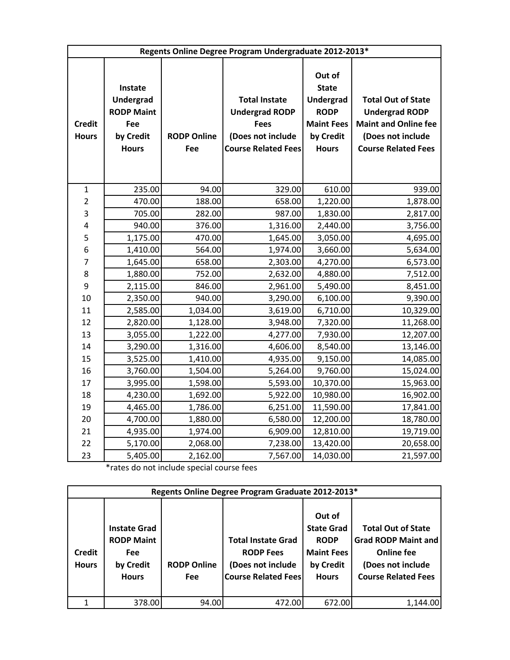| Regents Online Degree Program Undergraduate 2012-2013* |                                                                                      |                           |                                                                                                                 |                                                                                                             |                                                                                                                                      |  |
|--------------------------------------------------------|--------------------------------------------------------------------------------------|---------------------------|-----------------------------------------------------------------------------------------------------------------|-------------------------------------------------------------------------------------------------------------|--------------------------------------------------------------------------------------------------------------------------------------|--|
| <b>Credit</b><br><b>Hours</b>                          | Instate<br><b>Undergrad</b><br><b>RODP Maint</b><br>Fee<br>by Credit<br><b>Hours</b> | <b>RODP Online</b><br>Fee | <b>Total Instate</b><br><b>Undergrad RODP</b><br><b>Fees</b><br>(Does not include<br><b>Course Related Fees</b> | Out of<br><b>State</b><br><b>Undergrad</b><br><b>RODP</b><br><b>Maint Fees</b><br>by Credit<br><b>Hours</b> | <b>Total Out of State</b><br><b>Undergrad RODP</b><br><b>Maint and Online fee</b><br>(Does not include<br><b>Course Related Fees</b> |  |
| $\mathbf{1}$                                           | 235.00                                                                               | 94.00                     | 329.00                                                                                                          | 610.00                                                                                                      | 939.00                                                                                                                               |  |
| $\overline{2}$                                         | 470.00                                                                               | 188.00                    | 658.00                                                                                                          | 1,220.00                                                                                                    | 1,878.00                                                                                                                             |  |
| 3                                                      | 705.00                                                                               | 282.00                    | 987.00                                                                                                          | 1,830.00                                                                                                    | 2,817.00                                                                                                                             |  |
| 4                                                      | 940.00                                                                               | 376.00                    | 1,316.00                                                                                                        | 2,440.00                                                                                                    | 3,756.00                                                                                                                             |  |
| 5                                                      | 1,175.00                                                                             | 470.00                    | 1,645.00                                                                                                        | 3,050.00                                                                                                    | 4,695.00                                                                                                                             |  |
| 6                                                      | 1,410.00                                                                             | 564.00                    | 1,974.00                                                                                                        | 3,660.00                                                                                                    | 5,634.00                                                                                                                             |  |
| 7                                                      | 1,645.00                                                                             | 658.00                    | 2,303.00                                                                                                        | 4,270.00                                                                                                    | 6,573.00                                                                                                                             |  |
| 8                                                      | 1,880.00                                                                             | 752.00                    | 2,632.00                                                                                                        | 4,880.00                                                                                                    | 7,512.00                                                                                                                             |  |
| 9                                                      | 2,115.00                                                                             | 846.00                    | 2,961.00                                                                                                        | 5,490.00                                                                                                    | 8,451.00                                                                                                                             |  |
| 10                                                     | 2,350.00                                                                             | 940.00                    | 3,290.00                                                                                                        | 6,100.00                                                                                                    | 9,390.00                                                                                                                             |  |
| 11                                                     | 2,585.00                                                                             | 1,034.00                  | 3,619.00                                                                                                        | 6,710.00                                                                                                    | 10,329.00                                                                                                                            |  |
| 12                                                     | 2,820.00                                                                             | 1,128.00                  | 3,948.00                                                                                                        | 7,320.00                                                                                                    | 11,268.00                                                                                                                            |  |
| 13                                                     | 3,055.00                                                                             | 1,222.00                  | 4,277.00                                                                                                        | 7,930.00                                                                                                    | 12,207.00                                                                                                                            |  |
| 14                                                     | 3,290.00                                                                             | 1,316.00                  | 4,606.00                                                                                                        | 8,540.00                                                                                                    | 13,146.00                                                                                                                            |  |
| 15                                                     | 3,525.00                                                                             | 1,410.00                  | 4,935.00                                                                                                        | 9,150.00                                                                                                    | 14,085.00                                                                                                                            |  |
| 16                                                     | 3,760.00                                                                             | 1,504.00                  | 5,264.00                                                                                                        | 9,760.00                                                                                                    | 15,024.00                                                                                                                            |  |
| 17                                                     | 3,995.00                                                                             | 1,598.00                  | 5,593.00                                                                                                        | 10,370.00                                                                                                   | 15,963.00                                                                                                                            |  |
| 18                                                     | 4,230.00                                                                             | 1,692.00                  | 5,922.00                                                                                                        | 10,980.00                                                                                                   | 16,902.00                                                                                                                            |  |
| 19                                                     | 4,465.00                                                                             | 1,786.00                  | 6,251.00                                                                                                        | 11,590.00                                                                                                   | 17,841.00                                                                                                                            |  |
| 20                                                     | 4,700.00                                                                             | 1,880.00                  | 6,580.00                                                                                                        | 12,200.00                                                                                                   | 18,780.00                                                                                                                            |  |
| 21                                                     | 4,935.00                                                                             | 1,974.00                  | 6,909.00                                                                                                        | 12,810.00                                                                                                   | 19,719.00                                                                                                                            |  |
| 22                                                     | 5,170.00                                                                             | 2,068.00                  | 7,238.00                                                                                                        | 13,420.00                                                                                                   | 20,658.00                                                                                                                            |  |
| 23                                                     | 5,405.00                                                                             | 2,162.00                  | 7,567.00                                                                                                        | 14,030.00                                                                                                   | 21,597.00                                                                                                                            |  |

\*rates do not include special course fees

| Regents Online Degree Program Graduate 2012-2013* |                                                                                     |                                  |                                                                                                  |                                                                                              |                                                                                                                                 |  |  |  |
|---------------------------------------------------|-------------------------------------------------------------------------------------|----------------------------------|--------------------------------------------------------------------------------------------------|----------------------------------------------------------------------------------------------|---------------------------------------------------------------------------------------------------------------------------------|--|--|--|
| <b>Credit</b><br><b>Hours</b>                     | <b>Instate Grad</b><br><b>RODP Maint</b><br><b>Fee</b><br>by Credit<br><b>Hours</b> | <b>RODP Online</b><br><b>Fee</b> | <b>Total Instate Grad</b><br><b>RODP Fees</b><br>(Does not include<br><b>Course Related Fees</b> | Out of<br><b>State Grad</b><br><b>RODP</b><br><b>Maint Fees</b><br>by Credit<br><b>Hours</b> | <b>Total Out of State</b><br><b>Grad RODP Maint and</b><br><b>Online fee</b><br>(Does not include<br><b>Course Related Fees</b> |  |  |  |
|                                                   | 378.00                                                                              | 94.00                            | 472.00                                                                                           | 672.00                                                                                       | 1,144.00                                                                                                                        |  |  |  |